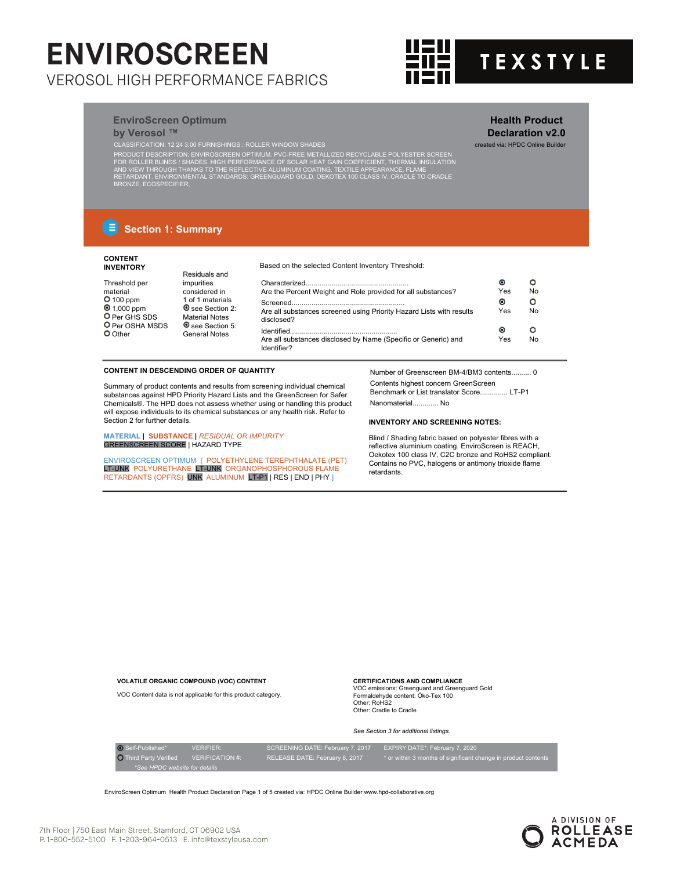

**Health Product Declaration v2.0**

# **EnviroScreen Optimum**

**by Verosol ™**<br>CLASSIFICATION: 12 24 3.00 FURNISHINGS : ROLLER WINDOW SHADE CLASSIFICATION: 12 24 3.00 FURNISHINGS : ROLLER WINDOW SHADES created via: HPDC Online Builder

PRODUCT DESCRIPTION: ENVIROSCREEN OPTIMUM. PVC-FREE METALLIZED RECYCLABLE POLYESTER SCREEN<br>FOR ROLLER BLINDS / SHADES. HIGH PERFORMANCE OF SOLAR HEAT GAIN COEFFICIENT, THERMAL INSULATION<br>AND VIEW THROUGH THANKS TO THE REFL

# **E** Section 1: Summary

## **CONTENT INVENTORY**

Thres

Based on the selected Content Inventory Threshold:

| Threshold per                                                  | impurities                                                         |                                                                                    | $\bullet$ |    |
|----------------------------------------------------------------|--------------------------------------------------------------------|------------------------------------------------------------------------------------|-----------|----|
| material                                                       | considered in                                                      | Are the Percent Weight and Role provided for all substances?                       | Yes       | No |
| $O$ 100 ppm                                                    | 1 of 1 materials                                                   |                                                                                    | $\bullet$ |    |
| $\bullet$ 1,000 ppm<br>O Per GHS SDS<br><b>O</b> Per OSHA MSDS | See Section 2:<br><b>Material Notes</b><br><b>O</b> see Section 5: | Are all substances screened using Priority Hazard Lists with results<br>disclosed? | Yes       | No |
| $\mathsf{O}_{\mathrm{Other}}$                                  | <b>General Notes</b>                                               |                                                                                    | $\bullet$ |    |
|                                                                |                                                                    | Are all substances disclosed by Name (Specific or Generic) and<br>Identifier?      | Yes       | No |

## **CONTENT IN DESCENDING ORDER OF QUANTITY**

Residuals and

Summary of product contents and results from screening individual chemical substances against HPD Priority Hazard Lists and the GreenScreen for Safer Chemicals®. The HPD does not assess whether using or handling this product will expose individuals to its chemical substances or any health risk. Refer to Section 2 for further details.

**MATERIAL | SUBSTANCE |** *RESIDUAL OR IMPURITY* GREENSCREEN SCORE | HAZARD TYPE

ENVIROSCREEN OPTIMUM [ POLYETHYLENE TEREPHTHALATE (PET) LT-UNK POLYURETHANE LT-UNK ORGANOPHOSPHOROUS FLAME RETARDANTS (OPFRS) UNK ALUMINUM LT-P1 | RES | END | PHY ]

Number of Greenscreen BM-4/BM3 contents.......... 0 Contents highest concern GreenScreen Benchmark or List translator Score.............. LT-P1 Nanomaterial............. No

## **INVENTORY AND SCREENING NOTES:**

Blind / Shading fabric based on polyester fibres with a reflective aluminium coating. EnviroScreen is REACH, Oekotex 100 class IV, C2C bronze and RoHS2 compliant. Contains no PVC, halogens or antimony trioxide flame retardants.

**VOLATILE ORGANIC COMPOUND (VOC) CONTENT** VOC Content data is not applicable for this product category. **CERTIFICATIONS AND COMPLIANCE**

VOC emissions: Greenguard and Greenguard Gold Formaldehyde content: Öko-Tex 100 Other: RoHS2 Other: Cradle to Cradle

## *See Section 3 for additional listings.*

| O Self-Published*             | <b>VERIFIER:</b>       | SCREENING DATE: February 7, 2017 | EXPIRY DATE*: February 7, 2020                                 |  |  |
|-------------------------------|------------------------|----------------------------------|----------------------------------------------------------------|--|--|
| <b>O</b> Third Party Verified | <b>VERIFICATION #:</b> | RELEASE DATE: February 8, 2017   | * or within 3 months of significant change in product contents |  |  |
| *See HPDC website for details |                        |                                  |                                                                |  |  |
|                               |                        |                                  |                                                                |  |  |

EnviroScreen Optimum Health Product Declaration Page 1 of 5 created via: HPDC Online Builder www.hpd-collaborative.org

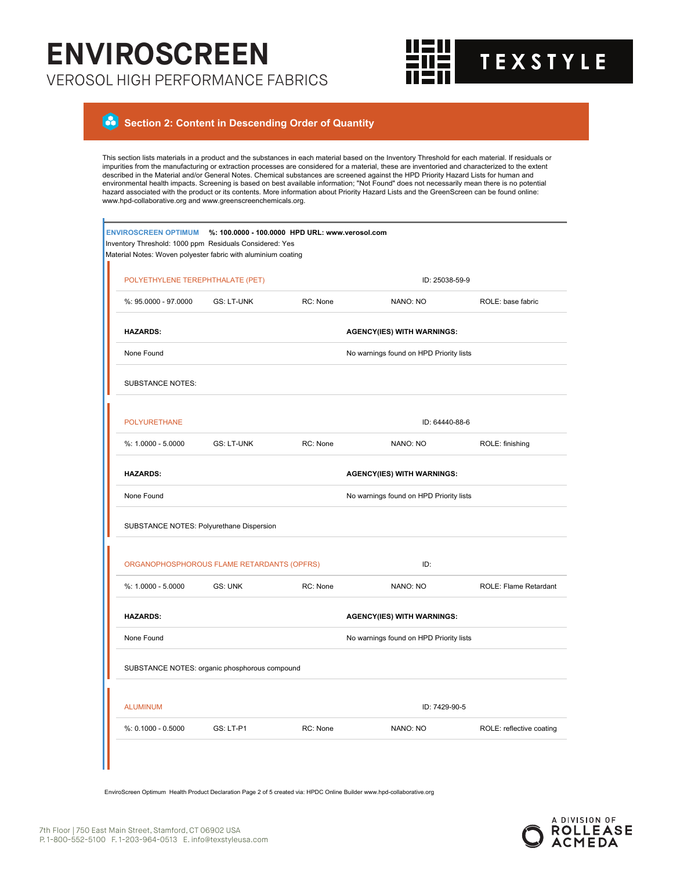

### a  **Section 2: Content in Descending Order of Quantity**

This section lists materials in a product and the substances in each material based on the Inventory Threshold for each material. If residuals or impurities from the manufacturing or extraction processes are considered for a material, these are inventoried and characterized to the extent described in the Material and/or General Notes. Chemical substances are screened against the HPD Priority Hazard Lists for human and environmental health impacts. Screening is based on best available information; "Not Found" does not necessarily mean there is no potential hazard associated with the product or its contents. More information about Priority Hazard Lists and the GreenScreen can be found online: www.hpd-collaborative.org and www.greenscreenchemicals.org.

|  | <b>ENVIROSCREEN OPTIMUM</b><br>Inventory Threshold: 1000 ppm Residuals Considered: Yes<br>Material Notes: Woven polyester fabric with aluminium coating |                                          | %: 100.0000 - 100.0000 HPD URL: www.verosol.com |                                         |                          |  |  |
|--|---------------------------------------------------------------------------------------------------------------------------------------------------------|------------------------------------------|-------------------------------------------------|-----------------------------------------|--------------------------|--|--|
|  | POLYETHYLENE TEREPHTHALATE (PET)                                                                                                                        |                                          |                                                 | ID: 25038-59-9                          |                          |  |  |
|  | %: 95.0000 - 97.0000                                                                                                                                    | <b>GS: LT-UNK</b>                        | RC: None                                        | NANO: NO                                | ROLE: base fabric        |  |  |
|  | <b>HAZARDS:</b>                                                                                                                                         | <b>AGENCY(IES) WITH WARNINGS:</b>        |                                                 |                                         |                          |  |  |
|  | None Found                                                                                                                                              | No warnings found on HPD Priority lists  |                                                 |                                         |                          |  |  |
|  | <b>SUBSTANCE NOTES:</b>                                                                                                                                 |                                          |                                                 |                                         |                          |  |  |
|  | <b>POLYURETHANE</b>                                                                                                                                     |                                          |                                                 | ID: 64440-88-6                          |                          |  |  |
|  | %: 1.0000 - 5.0000                                                                                                                                      | <b>GS: LT-UNK</b>                        | RC: None                                        | NANO: NO                                | ROLE: finishing          |  |  |
|  | <b>HAZARDS:</b>                                                                                                                                         |                                          |                                                 | <b>AGENCY(IES) WITH WARNINGS:</b>       |                          |  |  |
|  | None Found                                                                                                                                              |                                          |                                                 | No warnings found on HPD Priority lists |                          |  |  |
|  |                                                                                                                                                         | SUBSTANCE NOTES: Polyurethane Dispersion |                                                 |                                         |                          |  |  |
|  | ORGANOPHOSPHOROUS FLAME RETARDANTS (OPFRS)                                                                                                              |                                          |                                                 | ID:                                     |                          |  |  |
|  | %: 1.0000 - 5.0000                                                                                                                                      | <b>GS: UNK</b>                           | RC: None                                        | NANO: NO                                | ROLE: Flame Retardant    |  |  |
|  | <b>HAZARDS:</b>                                                                                                                                         |                                          |                                                 | <b>AGENCY(IES) WITH WARNINGS:</b>       |                          |  |  |
|  | None Found                                                                                                                                              |                                          |                                                 | No warnings found on HPD Priority lists |                          |  |  |
|  | SUBSTANCE NOTES: organic phosphorous compound                                                                                                           |                                          |                                                 |                                         |                          |  |  |
|  |                                                                                                                                                         |                                          |                                                 |                                         |                          |  |  |
|  | <b>ALUMINUM</b>                                                                                                                                         |                                          |                                                 | ID: 7429-90-5                           |                          |  |  |
|  | $%: 0.1000 - 0.5000$                                                                                                                                    | GS: LT-P1                                | RC: None                                        | NANO: NO                                | ROLE: reflective coating |  |  |
|  |                                                                                                                                                         |                                          |                                                 |                                         |                          |  |  |

EnviroScreen Optimum Health Product Declaration Page 2 of 5 created via: HPDC Online Builder www.hpd-collaborative.org

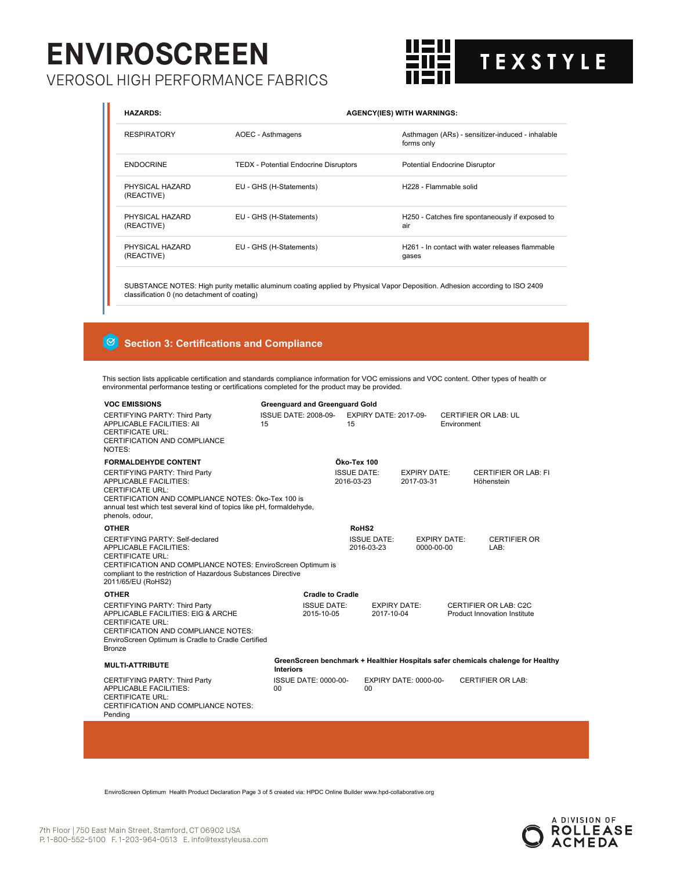# **ENVIROSCREEN**

VEROSOL HIGH PERFORMANCE FABRICS



| <b>HAZARDS:</b>               | <b>AGENCY(IES) WITH WARNINGS:</b>            |                                                                      |  |  |
|-------------------------------|----------------------------------------------|----------------------------------------------------------------------|--|--|
| <b>RESPIRATORY</b>            | AOEC - Asthmagens                            | Asthmagen (ARs) - sensitizer-induced - inhalable<br>forms only       |  |  |
| <b>ENDOCRINE</b>              | <b>TEDX</b> - Potential Endocrine Disruptors | <b>Potential Endocrine Disruptor</b>                                 |  |  |
| PHYSICAL HAZARD<br>(REACTIVE) | EU - GHS (H-Statements)                      | H228 - Flammable solid                                               |  |  |
| PHYSICAL HAZARD<br>(REACTIVE) | EU - GHS (H-Statements)                      | H250 - Catches fire spontaneously if exposed to<br>air               |  |  |
| PHYSICAL HAZARD<br>(REACTIVE) | EU - GHS (H-Statements)                      | H <sub>261</sub> - In contact with water releases flammable<br>gases |  |  |
|                               |                                              |                                                                      |  |  |

SUBSTANCE NOTES: High purity metallic aluminum coating applied by Physical Vapor Deposition. Adhesion according to ISO 2409 classification 0 (no detachment of coating)

# **Section 3: Certifications and Compliance**

This section lists applicable certification and standards compliance information for VOC emissions and VOC content. Other types of health or environmental performance testing or certifications completed for the product may be provided.

| <b>VOC EMISSIONS</b>                                                                                                                                                                                                                               | <b>Greenguard and Greenguard Gold</b> |                                                                                                                                |                                   |                     |                                                                                  |
|----------------------------------------------------------------------------------------------------------------------------------------------------------------------------------------------------------------------------------------------------|---------------------------------------|--------------------------------------------------------------------------------------------------------------------------------|-----------------------------------|---------------------|----------------------------------------------------------------------------------|
| CERTIFYING PARTY: Third Party<br><b>APPLICABLE FACILITIES: AII</b><br><b>CERTIFICATE URL:</b><br>CERTIFICATION AND COMPLIANCE<br>NOTES:                                                                                                            | <b>ISSUE DATE: 2008-09-</b><br>15     | <b>EXPIRY DATE: 2017-09-</b><br>15                                                                                             |                                   | Environment         | <b>CERTIFIER OR LAB: UL</b>                                                      |
| <b>FORMALDEHYDE CONTENT</b>                                                                                                                                                                                                                        |                                       | Öko-Tex 100                                                                                                                    |                                   |                     |                                                                                  |
| CERTIFYING PARTY: Third Party<br><b>APPLICABLE FACILITIES:</b><br><b>CERTIFICATE URL:</b><br>CERTIFICATION AND COMPLIANCE NOTES: Öko-Tex 100 is<br>annual test which test several kind of topics like pH, formaldehyde,<br>phenols, odour,         |                                       | <b>ISSUE DATE:</b><br>2016-03-23                                                                                               | <b>EXPIRY DATE:</b><br>2017-03-31 |                     | <b>CERTIFIER OR LAB: FI</b><br>Höhenstein                                        |
| <b>OTHER</b>                                                                                                                                                                                                                                       |                                       | RoHS <sub>2</sub>                                                                                                              |                                   |                     |                                                                                  |
| CERTIFYING PARTY: Self-declared<br><b>APPLICABLE FACILITIES:</b><br><b>CERTIFICATE URL:</b><br>CERTIFICATION AND COMPLIANCE NOTES: EnviroScreen Optimum is<br>compliant to the restriction of Hazardous Substances Directive<br>2011/65/EU (RoHS2) |                                       | <b>ISSUE DATE:</b><br>2016-03-23                                                                                               | 0000-00-00                        | <b>EXPIRY DATE:</b> | <b>CERTIFIER OR</b><br>LAB:                                                      |
| <b>OTHER</b>                                                                                                                                                                                                                                       | <b>Cradle to Cradle</b>               |                                                                                                                                |                                   |                     |                                                                                  |
| CERTIFYING PARTY: Third Party<br>APPLICABLE FACILITIES: EIG & ARCHE<br><b>CERTIFICATE URL:</b><br>CERTIFICATION AND COMPLIANCE NOTES:<br>EnviroScreen Optimum is Cradle to Cradle Certified<br><b>Bronze</b>                                       |                                       | <b>ISSUE DATE:</b><br><b>EXPIRY DATE:</b><br>CERTIFIER OR LAB: C2C<br>2015-10-05<br>2017-10-04<br>Product Innovation Institute |                                   |                     |                                                                                  |
| <b>MULTI-ATTRIBUTE</b>                                                                                                                                                                                                                             | <b>Interiors</b>                      |                                                                                                                                |                                   |                     | GreenScreen benchmark + Healthier Hospitals safer chemicals chalenge for Healthy |
| CERTIFYING PARTY: Third Party<br><b>APPLICABLE FACILITIES:</b><br>CERTIFICATE URL:<br>CERTIFICATION AND COMPLIANCE NOTES:<br>Pending                                                                                                               | <b>ISSUE DATE: 0000-00-</b><br>00     | 00                                                                                                                             | <b>EXPIRY DATE: 0000-00-</b>      |                     | <b>CERTIFIER OR LAB:</b>                                                         |
|                                                                                                                                                                                                                                                    |                                       |                                                                                                                                |                                   |                     |                                                                                  |

EnviroScreen Optimum Health Product Declaration Page 3 of 5 created via: HPDC Online Builder www.hpd-collaborative.org

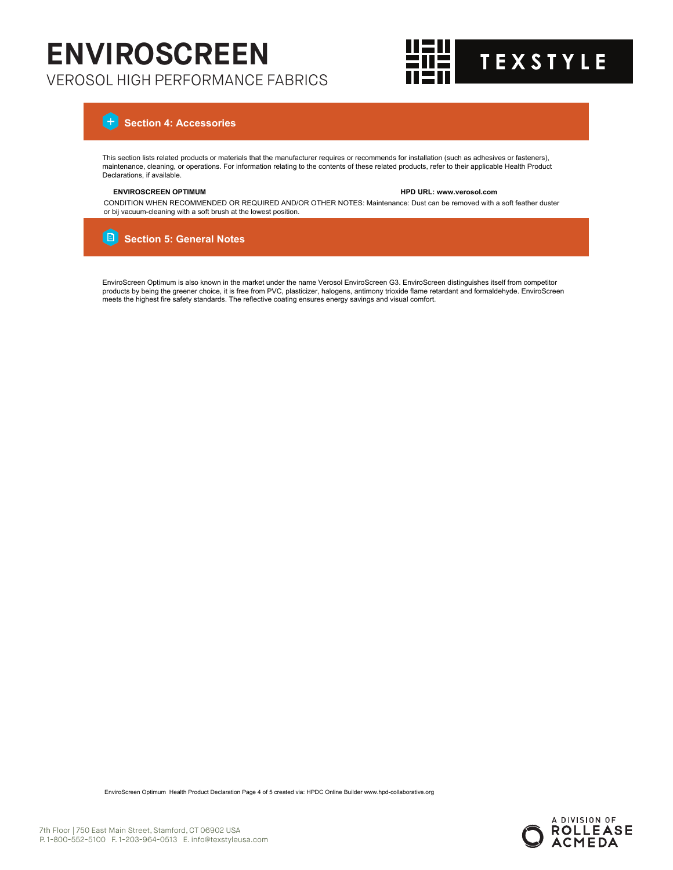

# **Section 4: Accessories**

This section lists related products or materials that the manufacturer requires or recommends for installation (such as adhesives or fasteners),<br>maintenance, cleaning, or operations. For information relating to the content Declarations, if available.

# **ENVIROSCREEN OPTIMUM HPD URL: www.verosol.com**

CONDITION WHEN RECOMMENDED OR REQUIRED AND/OR OTHER NOTES: Maintenance: Dust can be removed with a soft feather duster or bij vacuum-cleaning with a soft brush at the lowest position.

#### i Bi  **Section 5: General Notes**

EnviroScreen Optimum is also known in the market under the name Verosol EnviroScreen G3. EnviroScreen distinguishes itself from competitor products by being the greener choice, it is free from PVC, plasticizer, halogens, antimony trioxide flame retardant and formaldehyde. EnviroScreen meets the highest fire safety standards. The reflective coating ensures energy savings and visual comfort.

EnviroScreen Optimum Health Product Declaration Page 4 of 5 created via: HPDC Online Builder www.hpd-collaborative.org